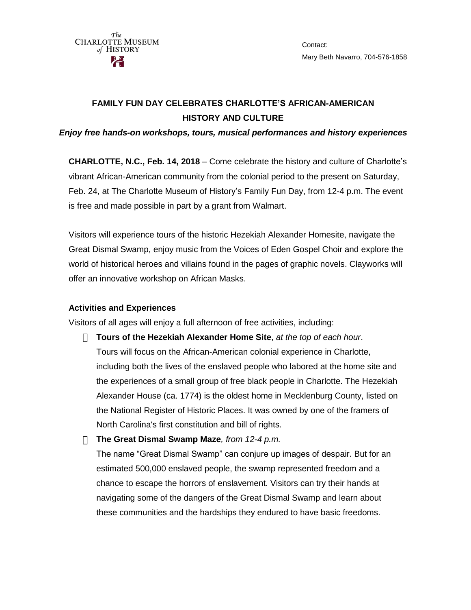Contact: Mary Beth Navarro, 704-576-1858

# **FAMILY FUN DAY CELEBRATES CHARLOTTE'S AFRICAN-AMERICAN HISTORY AND CULTURE**

#### *Enjoy free hands-on workshops, tours, musical performances and history experiences*

**CHARLOTTE, N.C., Feb. 14, 2018** – Come celebrate the history and culture of Charlotte's vibrant African-American community from the colonial period to the present on Saturday, Feb. 24, at The Charlotte Museum of History's Family Fun Day, from 12-4 p.m. The event is free and made possible in part by a grant from Walmart.

Visitors will experience tours of the historic Hezekiah Alexander Homesite, navigate the Great Dismal Swamp, enjoy music from the Voices of Eden Gospel Choir and explore the world of historical heroes and villains found in the pages of graphic novels. Clayworks will offer an innovative workshop on African Masks.

## **Activities and Experiences**

Visitors of all ages will enjoy a full afternoon of free activities, including:

- **Tours of the Hezekiah Alexander Home Site**, *at the top of each hour*. Tours will focus on the African-American colonial experience in Charlotte, including both the lives of the enslaved people who labored at the home site and the experiences of a small group of free black people in Charlotte. The Hezekiah Alexander House (ca. 1774) is the oldest home in Mecklenburg County, listed on the National Register of Historic Places. It was owned by one of the framers of North Carolina's first constitution and bill of rights.
- **The Great Dismal Swamp Maze***, from 12-4 p.m.* The name "Great Dismal Swamp" can conjure up images of despair. But for an estimated 500,000 enslaved people, the swamp represented freedom and a chance to escape the horrors of enslavement. Visitors can try their hands at navigating some of the dangers of the Great Dismal Swamp and learn about these communities and the hardships they endured to have basic freedoms.